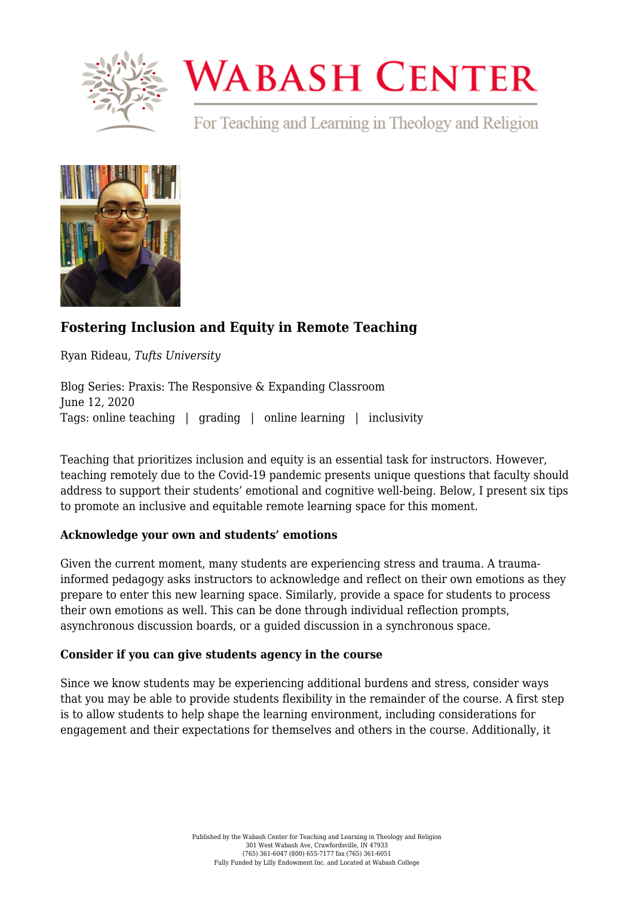

# **WABASH CENTER**

For Teaching and Learning in Theology and Religion



# **[Fostering Inclusion and Equity in Remote Teaching](https://www.wabashcenter.wabash.edu/2020/06/fostering-inclusion-and-equity-in-remote-teaching/)**

Ryan Rideau, *Tufts University*

Blog Series: Praxis: The Responsive & Expanding Classroom June 12, 2020 Tags: online teaching | grading | online learning | inclusivity

Teaching that prioritizes inclusion and equity is an essential task for instructors. However, teaching remotely due to the Covid-19 pandemic presents unique questions that faculty should address to support their students' emotional and cognitive well-being. Below, I present six tips to promote an inclusive and equitable remote learning space for this moment.

# **Acknowledge your own and students' emotions**

Given the current moment, many students are experiencing stress and trauma. A [trauma](https://educationnorthwest.org/resources/trauma-informed-practices-postsecondary-education-guide)[informed pedagogy](https://educationnorthwest.org/resources/trauma-informed-practices-postsecondary-education-guide) asks instructors to acknowledge and reflect on their own emotions as they prepare to enter this new learning space. Similarly, provide a space for students to process their own emotions as well. This can be done through individual reflection prompts, asynchronous discussion boards, or a guided discussion in a synchronous space.

# **Consider if you can give students agency in the course**

Since we know students may be experiencing additional burdens and stress, consider ways that you may be able to provide students flexibility in the remainder of the course. A first step is to allow students to help shape the learning environment, including considerations for engagement and their expectations for themselves and others in the course. Additionally, it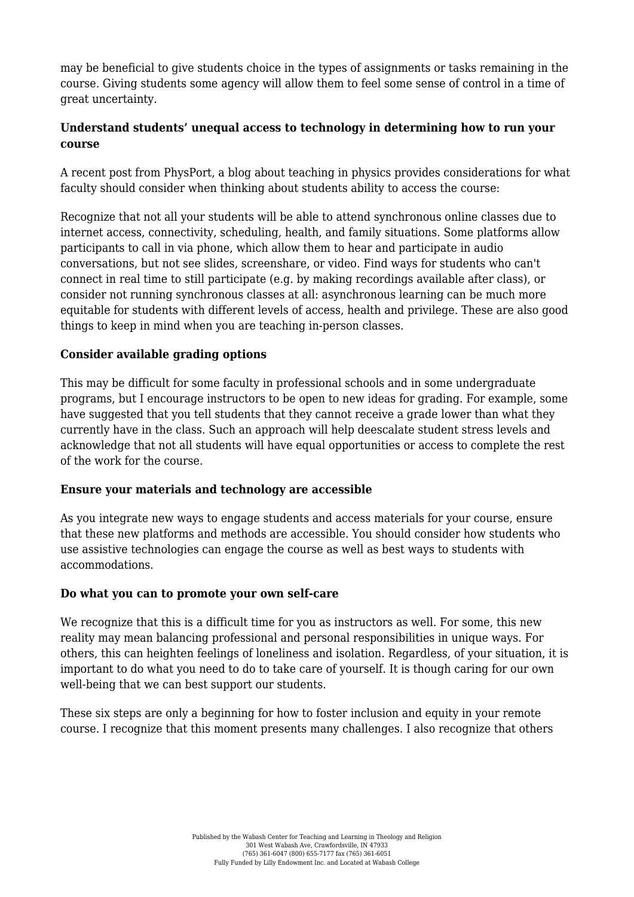may be beneficial to give students choice in the types of assignments or tasks remaining in the course. Giving students some agency will allow them to feel some sense of control in a time of great uncertainty.

# **Understand students' unequal access to technology in determining how to run your course**

A recent post from [PhysPort,](https://www.physport.org/recommendations/Entry.cfm?ID=119906#JXggBe21) a blog about teaching in physics provides considerations for what faculty should consider when thinking about students ability to access the course:

Recognize that not all your students will be able to attend synchronous online classes due to internet access, connectivity, scheduling, health, and family situations. Some platforms allow participants to call in via phone, which allow them to hear and participate in audio conversations, but not see slides, screenshare, or video. Find ways for students who can't connect in real time to still participate (e.g. by making recordings available after class), or consider not running synchronous classes at all: asynchronous learning can be much more equitable for students with different levels of access, health and privilege. These are also good things to keep in mind when you are teaching in-person classes.

#### **Consider available grading options**

This may be difficult for some faculty in professional schools and in some undergraduate programs, but I encourage instructors to be open to new ideas for grading. For example, some have suggested that you tell students that they cannot receive a grade lower than what they currently have in the class. Such an approach will help deescalate student stress levels and acknowledge that not all students will have equal opportunities or access to complete the rest of the work for the course.

#### **Ensure your materials and technology are accessible**

As you integrate new ways to engage students and access materials for your course, ensure that these new platforms and methods are accessible. You should consider how students who use assistive technologies can engage the course as well as best ways to students with accommodations.

#### **Do what you can to promote your own self-care**

We recognize that this is a difficult time for you as instructors as well. For some, this new reality may mean balancing professional and personal responsibilities in unique ways. For others, this can heighten feelings of loneliness and isolation. Regardless, of your situation, it is important to do what you need to do to take care of yourself. It is though caring for our own well-being that we can best support our students.

These six steps are only a beginning for how to foster inclusion and equity in your remote course. I recognize that this moment presents many challenges. I also recognize that others